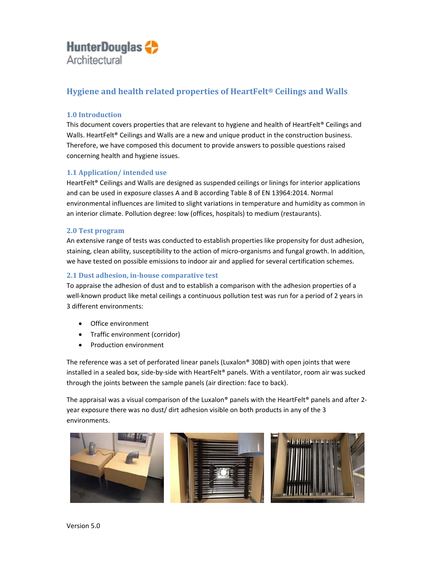# **Hygiene and health related properties of HeartFelt® Ceilings and Walls**

# **1.0 Introduction**

This document covers properties that are relevant to hygiene and health of HeartFelt® Ceilings and Walls. HeartFelt<sup>®</sup> Ceilings and Walls are a new and unique product in the construction business. Therefore, we have composed this document to provide answers to possible questions raised concerning health and hygiene issues.

# **1.1 Application/ intended use**

HeartFelt<sup>®</sup> Ceilings and Walls are designed as suspended ceilings or linings for interior applications and can be used in exposure classes A and B according Table 8 of EN 13964:2014. Normal environmental influences are limited to slight variations in temperature and humidity as common in an interior climate. Pollution degree: low (offices, hospitals) to medium (restaurants).

#### **2.0 Test program**

An extensive range of tests was conducted to establish properties like propensity for dust adhesion, staining, clean ability, susceptibility to the action of micro‐organisms and fungal growth. In addition, we have tested on possible emissions to indoor air and applied for several certification schemes.

#### **2.1 Dust adhesion, in‐house comparative test**

To appraise the adhesion of dust and to establish a comparison with the adhesion properties of a well-known product like metal ceilings a continuous pollution test was run for a period of 2 years in 3 different environments:

- Office environment
- Traffic environment (corridor)
- Production environment

The reference was a set of perforated linear panels (Luxalon® 30BD) with open joints that were installed in a sealed box, side‐by‐side with HeartFelt® panels. With a ventilator, room air was sucked through the joints between the sample panels (air direction: face to back).

The appraisal was a visual comparison of the Luxalon® panels with the HeartFelt® panels and after 2year exposure there was no dust/ dirt adhesion visible on both products in any of the 3 environments.

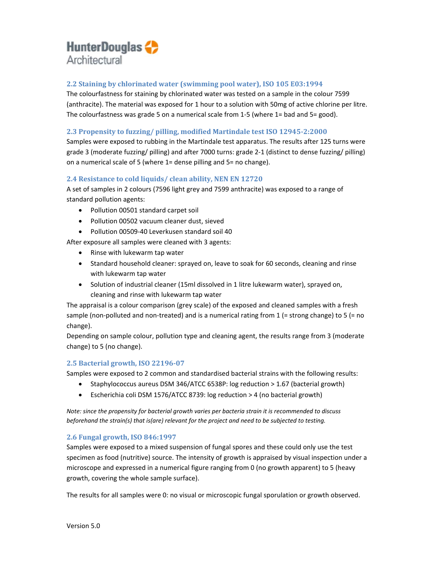# **2.2 Staining by chlorinated water (swimming pool water), ISO 105 E03:1994**

The colourfastness for staining by chlorinated water was tested on a sample in the colour 7599 (anthracite). The material was exposed for 1 hour to a solution with 50mg of active chlorine per litre. The colourfastness was grade 5 on a numerical scale from 1‐5 (where 1= bad and 5= good).

# **2.3 Propensity to fuzzing/ pilling, modified Martindale test ISO 12945‐2:2000**

Samples were exposed to rubbing in the Martindale test apparatus. The results after 125 turns were grade 3 (moderate fuzzing/ pilling) and after 7000 turns: grade 2‐1 (distinct to dense fuzzing/ pilling) on a numerical scale of 5 (where 1= dense pilling and 5= no change).

#### **2.4 Resistance to cold liquids/ clean ability, NEN EN 12720**

A set of samples in 2 colours (7596 light grey and 7599 anthracite) was exposed to a range of standard pollution agents:

- Pollution 00501 standard carpet soil
- Pollution 00502 vacuum cleaner dust, sieved
- Pollution 00509‐40 Leverkusen standard soil 40

After exposure all samples were cleaned with 3 agents:

- Rinse with lukewarm tap water
- Standard household cleaner: sprayed on, leave to soak for 60 seconds, cleaning and rinse with lukewarm tap water
- Solution of industrial cleaner (15ml dissolved in 1 litre lukewarm water), sprayed on, cleaning and rinse with lukewarm tap water

The appraisal is a colour comparison (grey scale) of the exposed and cleaned samples with a fresh sample (non-polluted and non-treated) and is a numerical rating from  $1$  (= strong change) to 5 (= no change).

Depending on sample colour, pollution type and cleaning agent, the results range from 3 (moderate change) to 5 (no change).

#### **2.5 Bacterial growth, ISO 22196‐07**

Samples were exposed to 2 common and standardised bacterial strains with the following results:

- Staphylococcus aureus DSM 346/ATCC 6538P: log reduction > 1.67 (bacterial growth)
- Escherichia coli DSM 1576/ATCC 8739: log reduction > 4 (no bacterial growth)

*Note: since the propensity for bacterial growth varies per bacteria strain it is recommended to discuss beforehand the strain(s) that is(are) relevant for the project and need to be subjected to testing.* 

# **2.6 Fungal growth, ISO 846:1997**

Samples were exposed to a mixed suspension of fungal spores and these could only use the test specimen as food (nutritive) source. The intensity of growth is appraised by visual inspection under a microscope and expressed in a numerical figure ranging from 0 (no growth apparent) to 5 (heavy growth, covering the whole sample surface).

The results for all samples were 0: no visual or microscopic fungal sporulation or growth observed.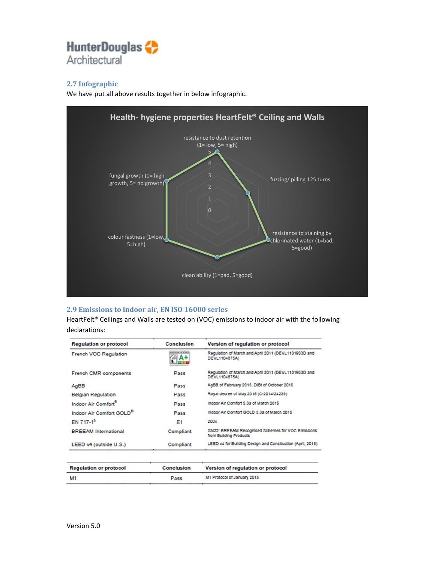# **2.7 Infographic**

We have put all above results together in below infographic.



# **2.9 Emissions to indoor air, EN ISO 16000 series**

HeartFelt® Ceilings and Walls are tested on (VOC) emissions to indoor air with the following declarations:

| <b>Regulation or protocol</b>        | <b>Conclusion</b>                          | Version of regulation or protocol                                           |
|--------------------------------------|--------------------------------------------|-----------------------------------------------------------------------------|
| French VOC Regulation                | <b>Business and John Britain</b><br>⊚∂ A + | Requiation of March and April 2011 (DEVL1101903D and<br>DEVL1104875A)       |
| French CMR components                | Pass                                       | Regulation of March and April 2011 (DEVL1101903D and<br>DEVL1104875A)       |
| AgBB                                 | Pass                                       | AgBB of February 2015. DIBt of October 2010                                 |
| <b>Belgian Regulation</b>            | Pass                                       | Royal decree of May 2015 (C-2014/24239)                                     |
| Indoor Air Comfort                   | Pass                                       | Indoor Air Comfort 5.3a of March 2015                                       |
| Indoor Air Comfort GOLD <sup>®</sup> | Pass                                       | Indoor Air Comfort GOLD 5.3a of March 2015                                  |
| EN 717-1 <sup>9</sup>                | E <sub>1</sub>                             | 2004                                                                        |
| <b>BREEAM</b> International          | Compliant                                  | GN22: BREEAM Recognised Schemes for VOC Emissions<br>from Building Products |
| LEED v4 (outside U.S.)               | Compliant                                  | LEED v4 for Building Design and Construction (April, 2015)                  |

| <b>Regulation or protocol</b> | <b>Conclusion</b> | Version of regulation or protocol |
|-------------------------------|-------------------|-----------------------------------|
| <b>M1</b>                     | Pass              | M1 Protocol of January 2015       |